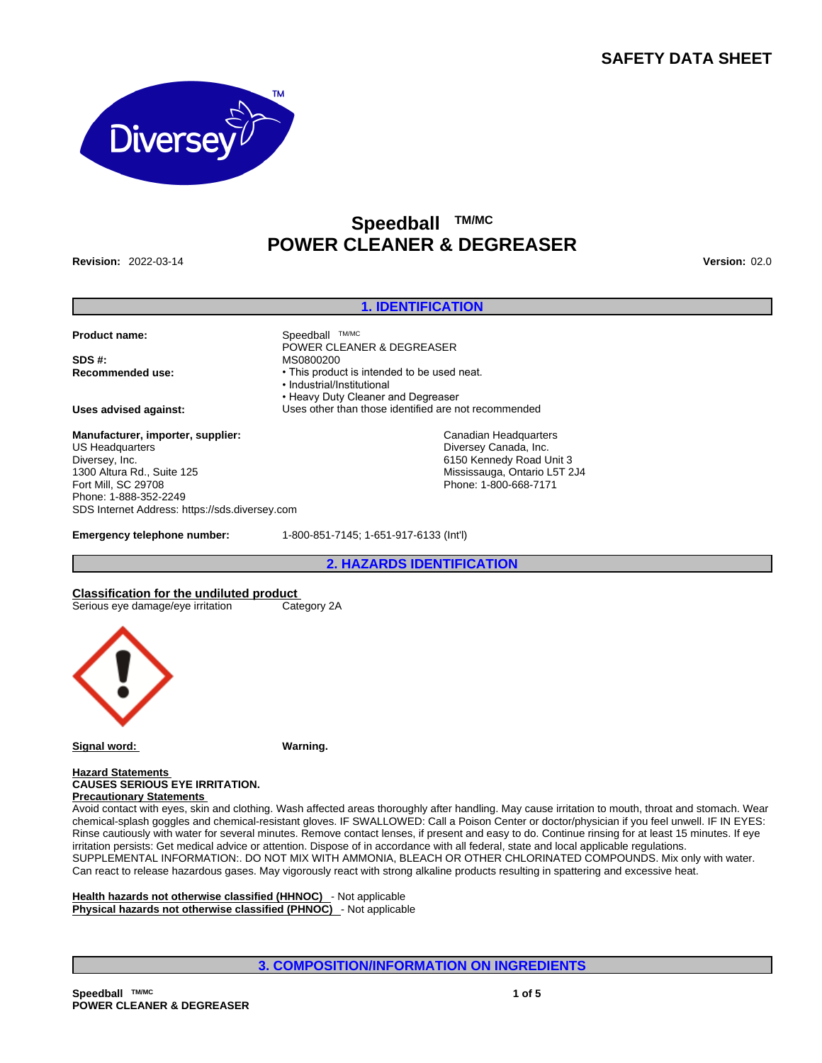# **SAFETY DATA SHEET**



# **Speedball TM/MC POWER CLEANER & DEGREASER**

**Revision:** 2022-03-14 **Version:** 02.0

#### **1. IDENTIFICATION**

**Product name:** Speedball TM/MC

**SDS #:** MS0800200

**Manufacturer, importer, supplier:** US Headquarters Diversey, Inc. 1300 Altura Rd., Suite 125 Fort Mill, SC 29708 Phone: 1-888-352-2249 SDS Internet Address: https://sds.diversey.com

**Recommended use:** • This product is intended to be used neat. • Industrial/Institutional • Heavy Duty Cleaner and Degreaser **Uses advised against:** Uses other than those identified are not recommended

POWER CLEANER & DEGREASER

Canadian Headquarters Diversey Canada, Inc. 6150 Kennedy Road Unit 3 Mississauga, Ontario L5T 2J4 Phone: 1-800-668-7171

**Emergency telephone number:** 1-800-851-7145; 1-651-917-6133 (Int'l)

**2. HAZARDS IDENTIFICATION**

# **Classification for the undiluted product**

Serious eye damage/eye irritation Category 2A



**Signal word: Warning.**

**Hazard Statements CAUSES SERIOUS EYE IRRITATION. Precautionary Statements** 

Avoid contact with eyes, skin and clothing. Wash affected areas thoroughly after handling. May cause irritation to mouth, throat and stomach. Wear chemical-splash goggles and chemical-resistant gloves. IF SWALLOWED: Call a Poison Center or doctor/physician if you feel unwell. IF IN EYES: Rinse cautiously with water for several minutes. Remove contact lenses, if present and easy to do. Continue rinsing for at least 15 minutes. If eye irritation persists: Get medical advice or attention. Dispose of in accordance with all federal, state and local applicable regulations. SUPPLEMENTAL INFORMATION:. DO NOT MIX WITH AMMONIA, BLEACH OR OTHER CHLORINATED COMPOUNDS. Mix only with water. Can react to release hazardous gases. May vigorously react with strong alkaline products resulting in spattering and excessive heat.

**Health hazards not otherwise classified (HHNOC)** - Not applicable **Physical hazards not otherwise classified (PHNOC)** - Not applicable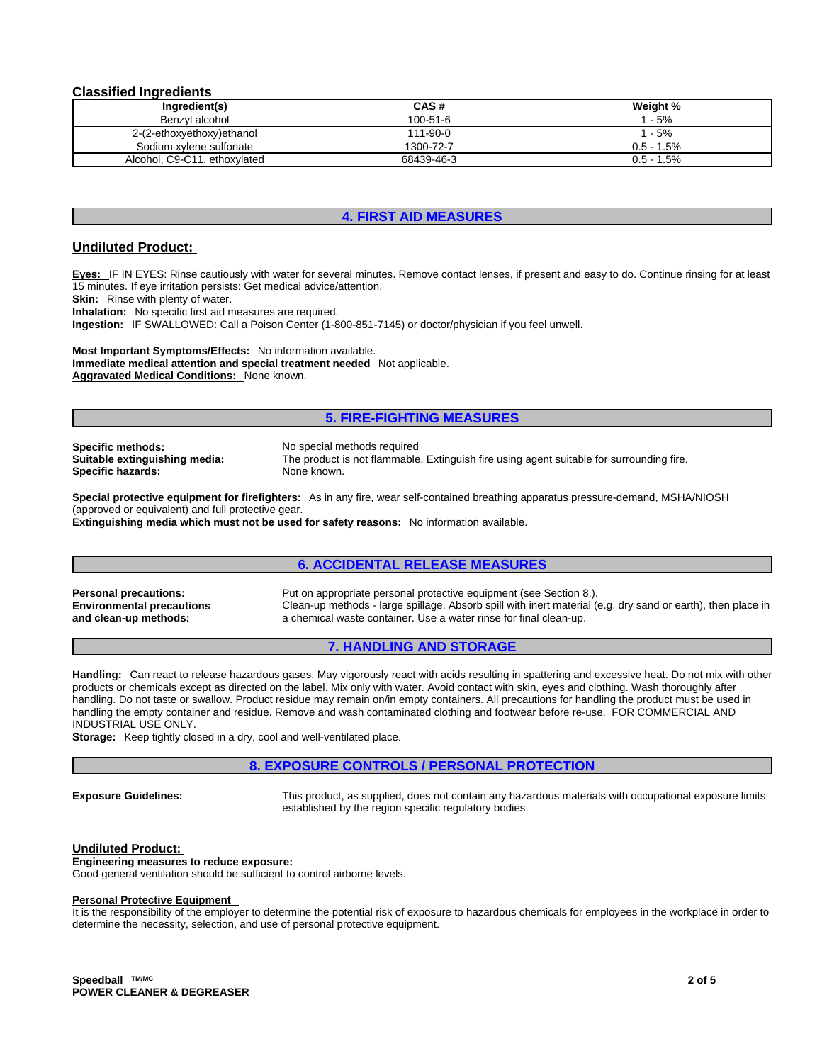#### **Classified Ingredients**

| Ingredient(s)                | CAS#           | Weight %      |
|------------------------------|----------------|---------------|
| Benzvl alcohol               | $100 - 51 - 6$ | l - 5%        |
| 2-(2-ethoxyethoxy)ethanol    | $111 - 90 - 0$ | $1 - 5%$      |
| Sodium xylene sulfonate      | 1300-72-7      | $0.5 - 1.5\%$ |
| Alcohol, C9-C11, ethoxylated | 68439-46-3     | 0.5 - 1.5%    |

## **4. FIRST AID MEASURES**

# **Undiluted Product:**

**Eyes:** IF IN EYES: Rinse cautiously with water for several minutes. Remove contact lenses, if present and easy to do. Continue rinsing for at least 15 minutes. If eye irritation persists: Get medical advice/attention.

**Skin:** Rinse with plenty of water.

**Inhalation:** No specific first aid measures are required.

**Ingestion:** IF SWALLOWED: Call a Poison Center (1-800-851-7145) or doctor/physician if you feel unwell.

**Most Important Symptoms/Effects:** No information available. **Immediate medical attention and special treatment needed** Not applicable. **Aggravated Medical Conditions:** None known.

#### **5. FIRE-FIGHTING MEASURES**

**Specific methods:** No special methods required **Specific hazards:** 

**Suitable extinguishing media:** The product is not flammable. Extinguish fire using agent suitable for surrounding fire.

**Special protective equipment for firefighters:** As in any fire, wear self-contained breathing apparatus pressure-demand, MSHA/NIOSH (approved or equivalent) and full protective gear.

**Extinguishing media which must not be used for safety reasons:** No information available.

## **6. ACCIDENTAL RELEASE MEASURES**

**Environmental precautions and clean-up methods:** 

**Personal precautions:** Put on appropriate personal protective equipment (see Section 8.). Clean-up methods - large spillage. Absorb spill with inert material (e.g. dry sand or earth), then place in a chemical waste container. Use a water rinse for final clean-up.

## **7. HANDLING AND STORAGE**

**Handling:** Can react to release hazardous gases. May vigorously react with acids resulting in spattering and excessive heat. Do not mix with other products or chemicals except as directed on the label. Mix only with water. Avoid contact with skin, eyes and clothing. Wash thoroughly after handling. Do not taste or swallow. Product residue may remain on/in empty containers. All precautions for handling the product must be used in handling the empty container and residue. Remove and wash contaminated clothing and footwear before re-use. FOR COMMERCIAL AND INDUSTRIAL USE ONLY.

**Storage:** Keep tightly closed in a dry, cool and well-ventilated place.

## **8. EXPOSURE CONTROLS / PERSONAL PROTECTION**

**Exposure Guidelines:** This product, as supplied, does not contain any hazardous materials with occupational exposure limits established by the region specific regulatory bodies.

#### **Undiluted Product:**

**Engineering measures to reduce exposure:** Good general ventilation should be sufficient to control airborne levels.

#### **Personal Protective Equipment**

It is the responsibility of the employer to determine the potential risk of exposure to hazardous chemicals for employees in the workplace in order to determine the necessity, selection, and use of personal protective equipment.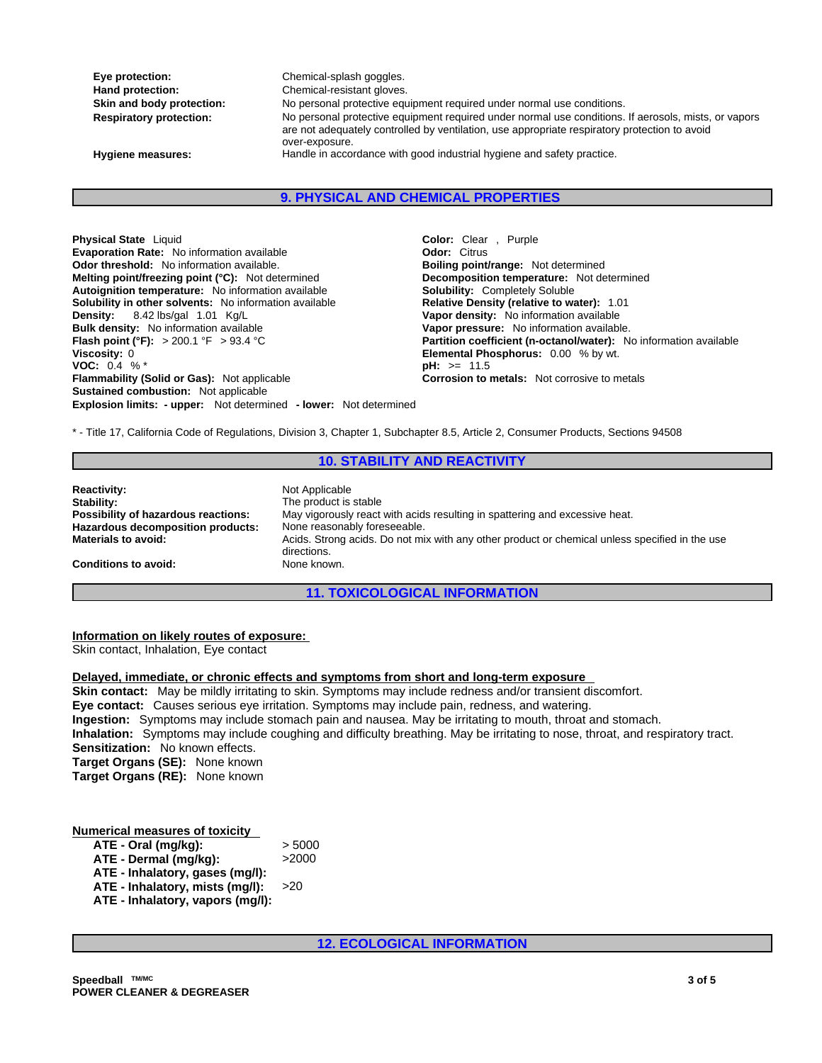**Eye protection: Chemical-splash goggles. Hand protection:** Chemical-resistant gloves.

Skin and body protection: No personal protective equipment required under normal use conditions. **Respiratory protection:** No personal protective equipment required under normal use conditions. If aerosols, mists, or vapors are not adequately controlled by ventilation, use appropriate respiratory protection to avoid over-exposure. **Hygiene measures:** Handle in accordance with good industrial hygiene and safety practice.

**9. PHYSICAL AND CHEMICAL PROPERTIES**

**Explosion limits: - upper:** Not determined **- lower:** Not determined **Physical State** Liquid **Color:** Clear , Purple **Evaporation Rate:** No information available **Color:** Citrus **Color:** Citrus **Evaporation Rate:** No information available **Odor threshold:** No information available. **Boiling point/range:** Not determined **Melting point/freezing point (°C):** Not determined **Decomposition temperature:** Not determined **Autoignition temperature:** No information available **Solubility:** Completely Soluble **Solubility in other solvents:** No information available **Relative Density (relative to water):** 1.01 **Density:** 8.42 lbs/gal 1.01 Kg/L **Vapor density:** No information available **Bulk density:** No information available **Vanet Concernsivers Vapor pressure:** No information available.<br> **Flash point (°F):** > 200.1 °F > 93.4 °C **Concernsivers Concernsivers Partition coefficient (n-octanol/water): N Viscosity:** 0 **Elemental Phosphorus:** 0.00 % by wt. **VOC:** 0.4 % \* **pH:** >= 11.5 **Flammability (Solid or Gas):** Not applicable **Corrosion to metals:** Not corrosive to metals **Sustained combustion:** Not applicable

**Partition coefficient (n-octanol/water):** No information available

\* - Title 17, California Code of Regulations, Division 3, Chapter 1, Subchapter 8.5, Article 2, Consumer Products, Sections 94508

## **10. STABILITY AND REACTIVITY**

**Reactivity:** Not Applicable **Stability:** The product is stable **Possibility of hazardous reactions:** May vigorously react with acids resulting in spattering and excessive heat. **Hazardous decomposition products:** None reasonably foreseeable.<br>**Materials to avoid:** Acids. Strong acids. Do not mi **Materials to avoid:** Acids. Strong acids. Do not mix with any other product or chemical unless specified in the use directions. **Conditions to avoid:** None known.

# **11. TOXICOLOGICAL INFORMATION**

## **Information on likely routes of exposure:**

Skin contact, Inhalation, Eye contact

#### **Delayed, immediate, or chronic effects and symptoms from short and long-term exposure**

**Skin contact:** May be mildly irritating to skin. Symptoms may include redness and/or transient discomfort. **Eye contact:** Causes serious eye irritation. Symptoms may include pain, redness, and watering. **Ingestion:** Symptoms may include stomach pain and nausea. May be irritating to mouth, throat and stomach. **Inhalation:** Symptoms may include coughing and difficulty breathing. May be irritating to nose, throat, and respiratory tract. **Sensitization:** No known effects. **Target Organs (SE):** None known **Target Organs (RE):** None known

**Numerical measures of toxicity**

| ATE - Oral (mq/kq):              | > 5000 |
|----------------------------------|--------|
| ATE - Dermal (mq/kq):            | >2000  |
| ATE - Inhalatory, gases (mq/l):  |        |
| ATE - Inhalatory, mists (mq/l):  | >20    |
| ATE - Inhalatory, vapors (mq/l): |        |

**12. ECOLOGICAL INFORMATION**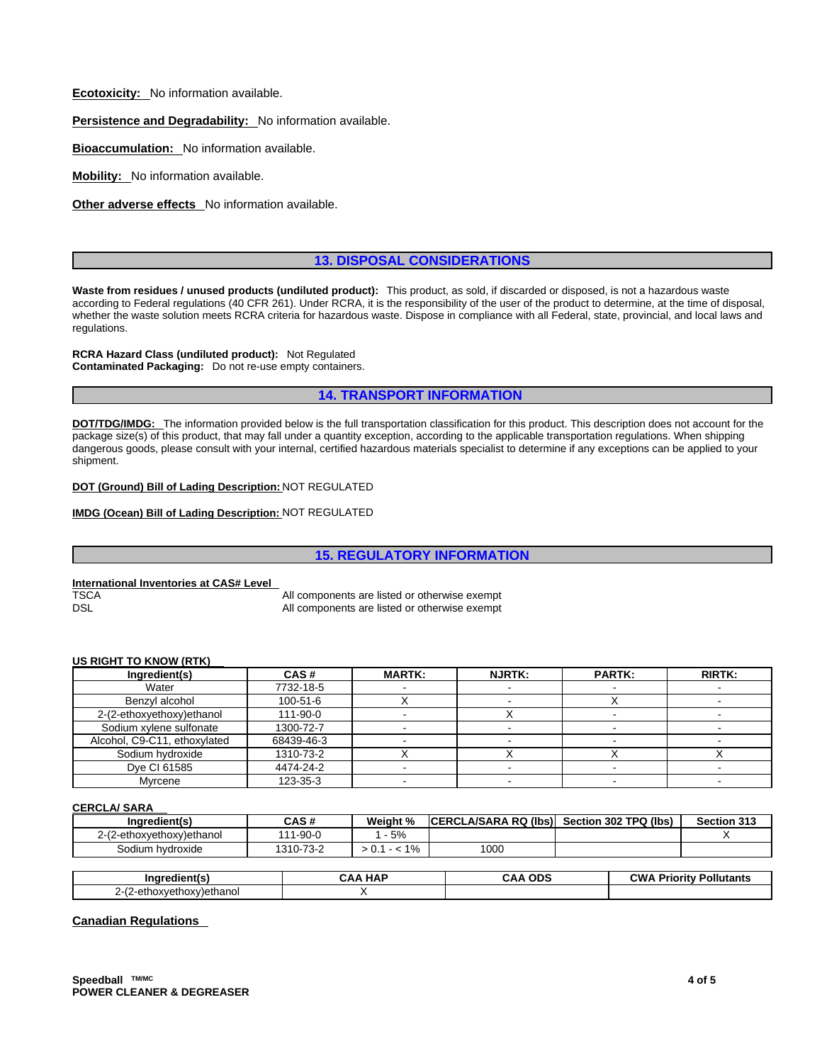**Ecotoxicity:** No information available.

**Persistence and Degradability:** No information available.

**Bioaccumulation:** No information available.

**Mobility:** No information available.

**Other adverse effects** No information available.

# **13. DISPOSAL CONSIDERATIONS**

**Waste from residues / unused products (undiluted product):** This product, as sold, if discarded or disposed, is not a hazardous waste according to Federal regulations (40 CFR 261). Under RCRA, it is the responsibility of the user of the product to determine, at the time of disposal, whether the waste solution meets RCRA criteria for hazardous waste. Dispose in compliance with all Federal, state, provincial, and local laws and regulations.

**RCRA Hazard Class (undiluted product):** Not Regulated **Contaminated Packaging:** Do not re-use empty containers.

**14. TRANSPORT INFORMATION**

**DOT/TDG/IMDG:** The information provided below is the full transportation classification for this product. This description does not account for the package size(s) of this product, that may fall under a quantity exception, according to the applicable transportation regulations. When shipping dangerous goods, please consult with your internal, certified hazardous materials specialist to determine if any exceptions can be applied to your shipment.

**DOT (Ground) Bill of Lading Description:** NOT REGULATED

**IMDG (Ocean) Bill of Lading Description:** NOT REGULATED

**15. REGULATORY INFORMATION**

**International Inventories at CAS# Level** 

All components are listed or otherwise exempt DSL DSL **All components are listed or otherwise exempt** 

| US RIGHT TO KNOW (RTK) |  |  |
|------------------------|--|--|
|                        |  |  |

| Ingredient(s)                | CAS#       | <b>MARTK:</b> | <b>NJRTK:</b> | <b>PARTK:</b> | <b>RIRTK:</b> |
|------------------------------|------------|---------------|---------------|---------------|---------------|
| Water                        | 7732-18-5  |               |               |               |               |
| Benzvl alcohol               | 100-51-6   |               |               |               |               |
| 2-(2-ethoxyethoxy)ethanol    | 111-90-0   |               |               |               |               |
| Sodium xylene sulfonate      | 1300-72-7  |               |               |               |               |
| Alcohol, C9-C11, ethoxylated | 68439-46-3 |               |               |               |               |
| Sodium hydroxide             | 1310-73-2  |               |               |               |               |
| Dve CI 61585                 | 4474-24-2  |               |               |               |               |
| Mvrcene                      | 123-35-3   |               |               |               |               |

**CERCLA/ SARA** 

| Inaredient(s)             | CAS #     | Weight % | <b>ICERCLA/SARA RQ (Ibs)</b> | Section 302 TPQ (lbs) | Section 313 |
|---------------------------|-----------|----------|------------------------------|-----------------------|-------------|
| 2-(2-ethoxyethoxy)ethanol | 111-90-0  | $-5%$    |                              |                       |             |
| Sodium hydroxide          | 1310-73-2 | 1%       | 1000                         |                       |             |

|                                                   | <b>HAP</b><br>. V V<br>. . | <b>ODS</b><br>^ ^ | $\sim$ M.<br>.<br>onutants |
|---------------------------------------------------|----------------------------|-------------------|----------------------------|
| $\epsilon$<br>---<br>nethanol<br>2-em<br>JXY<br>. |                            |                   |                            |

**Canadian Regulations**